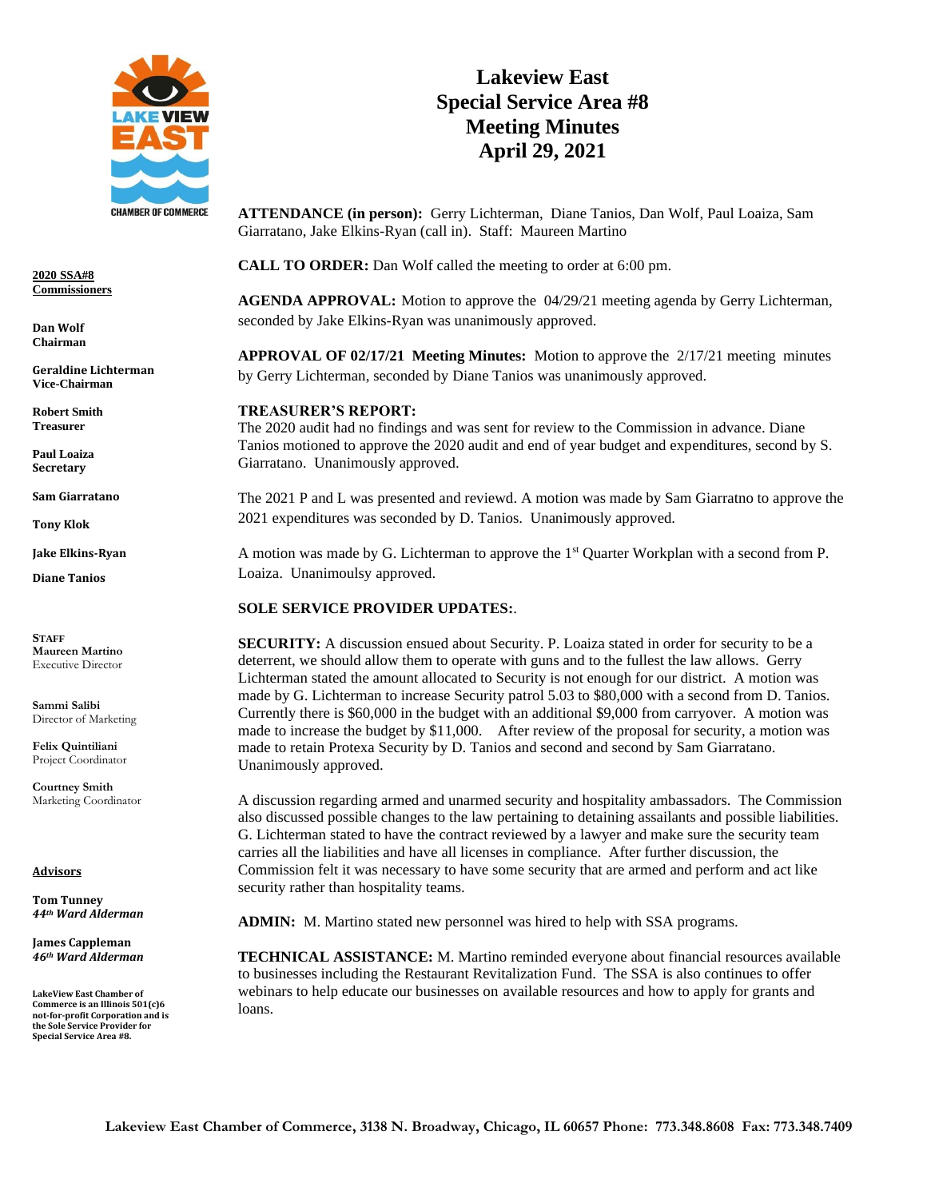

**2020 SSA#8 Commissioners**

**Dan Wolf Chairman**

**Geraldine Lichterman Vice-Chairman**

**Robert Smith Treasurer**

**Paul Loaiza Secretary**

**Sam Giarratano** 

**Tony Klok**

**Jake Elkins-Ryan**

**Diane Tanios**

**STAFF Maureen Martino** Executive Director

**Sammi Salibi** Director of Marketing

**Felix Quintiliani** Project Coordinator

**Courtney Smith** Marketing Coordinator

**Advisors**

**Tom Tunney** *44th Ward Alderman*

**James Cappleman** *46th Ward Alderman*

**LakeView East Chamber of Commerce is an Illinois 501(c)6 not-for-profit Corporation and is the Sole Service Provider for Special Service Area #8.**

## **Lakeview East Special Service Area #8 Meeting Minutes April 29, 2021**

**ATTENDANCE (in person):** Gerry Lichterman, Diane Tanios, Dan Wolf, Paul Loaiza, Sam Giarratano, Jake Elkins-Ryan (call in). Staff: Maureen Martino

**CALL TO ORDER:** Dan Wolf called the meeting to order at 6:00 pm.

**AGENDA APPROVAL:** Motion to approve the 04/29/21 meeting agenda by Gerry Lichterman, seconded by Jake Elkins-Ryan was unanimously approved.

**APPROVAL OF 02/17/21 Meeting Minutes:** Motion to approve the 2/17/21 meeting minutes by Gerry Lichterman, seconded by Diane Tanios was unanimously approved.

## **TREASURER'S REPORT:**

The 2020 audit had no findings and was sent for review to the Commission in advance. Diane Tanios motioned to approve the 2020 audit and end of year budget and expenditures, second by S. Giarratano. Unanimously approved.

The 2021 P and L was presented and reviewd. A motion was made by Sam Giarratno to approve the 2021 expenditures was seconded by D. Tanios. Unanimously approved.

A motion was made by G. Lichterman to approve the 1st Quarter Workplan with a second from P. Loaiza. Unanimoulsy approved.

## **SOLE SERVICE PROVIDER UPDATES:**.

**SECURITY:** A discussion ensued about Security. P. Loaiza stated in order for security to be a deterrent, we should allow them to operate with guns and to the fullest the law allows. Gerry Lichterman stated the amount allocated to Security is not enough for our district. A motion was made by G. Lichterman to increase Security patrol 5.03 to \$80,000 with a second from D. Tanios. Currently there is \$60,000 in the budget with an additional \$9,000 from carryover. A motion was made to increase the budget by \$11,000. After review of the proposal for security, a motion was made to retain Protexa Security by D. Tanios and second and second by Sam Giarratano. Unanimously approved.

A discussion regarding armed and unarmed security and hospitality ambassadors. The Commission also discussed possible changes to the law pertaining to detaining assailants and possible liabilities. G. Lichterman stated to have the contract reviewed by a lawyer and make sure the security team carries all the liabilities and have all licenses in compliance. After further discussion, the Commission felt it was necessary to have some security that are armed and perform and act like security rather than hospitality teams.

**ADMIN:** M. Martino stated new personnel was hired to help with SSA programs.

**TECHNICAL ASSISTANCE:** M. Martino reminded everyone about financial resources available to businesses including the Restaurant Revitalization Fund. The SSA is also continues to offer webinars to help educate our businesses on available resources and how to apply for grants and loans.